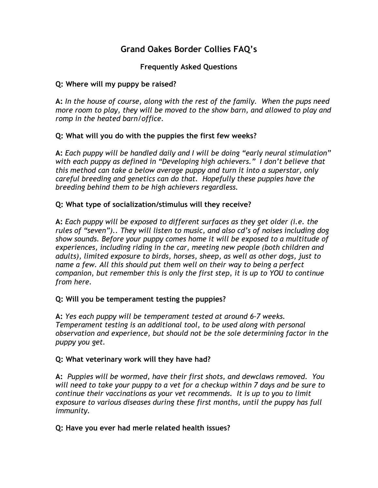# Grand Oakes Border Collies FAQ's

### Frequently Asked Questions

#### Q: Where will my puppy be raised?

A: In the house of course, along with the rest of the family. When the pups need more room to play, they will be moved to the show barn, and allowed to play and romp in the heated barn/office.

#### Q: What will you do with the puppies the first few weeks?

A: Each puppy will be handled daily and I will be doing "early neural stimulation" with each puppy as defined in "Developing high achievers." I don't believe that this method can take a below average puppy and turn it into a superstar, only careful breeding and genetics can do that. Hopefully these puppies have the breeding behind them to be high achievers regardless.

#### Q: What type of socialization/stimulus will they receive?

A: Each puppy will be exposed to different surfaces as they get older (i.e. the rules of "seven").. They will listen to music, and also cd's of noises including dog show sounds. Before your puppy comes home it will be exposed to a multitude of experiences, including riding in the car, meeting new people (both children and adults), limited exposure to birds, horses, sheep, as well as other dogs, just to name a few. All this should put them well on their way to being a perfect companion, but remember this is only the first step, it is up to YOU to continue from here.

#### Q: Will you be temperament testing the puppies?

A: Yes each puppy will be temperament tested at around 6-7 weeks. Temperament testing is an additional tool, to be used along with personal observation and experience, but should not be the sole determining factor in the puppy you get.

#### Q: What veterinary work will they have had?

A: Puppies will be wormed, have their first shots, and dewclaws removed. You will need to take your puppy to a vet for a checkup within 7 days and be sure to continue their vaccinations as your vet recommends. It is up to you to limit exposure to various diseases during these first months, until the puppy has full immunity.

#### Q: Have you ever had merle related health issues?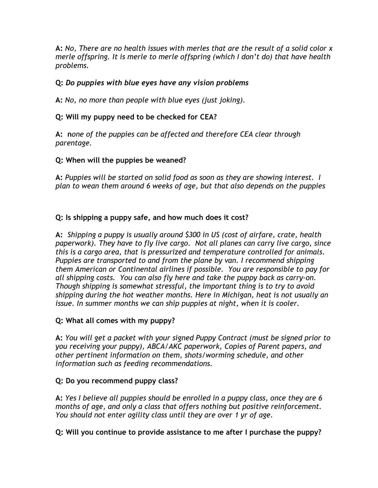A: No, There are no health issues with merles that are the result of a solid color x merle offspring. It is merle to merle offspring (which I don't do) that have health problems.

# Q: Do puppies with blue eyes have any vision problems

A: No, no more than people with blue eyes (just joking).

# Q: Will my puppy need to be checked for CEA?

A: none of the puppies can be affected and therefore CEA clear through parentage.

# Q: When will the puppies be weaned?

A: Puppies will be started on solid food as soon as they are showing interest. I plan to wean them around 6 weeks of age, but that also depends on the puppies

# Q: Is shipping a puppy safe, and how much does it cost?

A: Shipping a puppy is usually around \$300 in US (cost of airfare, crate, health paperwork). They have to fly live cargo. Not all planes can carry live cargo, since this is a cargo area, that is pressurized and temperature controlled for animals. Puppies are transported to and from the plane by van. I recommend shipping them American or Continental airlines if possible. You are responsible to pay for all shipping costs. You can also fly here and take the puppy back as carry-on. Though shipping is somewhat stressful, the important thing is to try to avoid shipping during the hot weather months. Here in Michigan, heat is not usually an issue. In summer months we can ship puppies at night, when it is cooler.

# Q: What all comes with my puppy?

A: You will get a packet with your signed Puppy Contract (must be signed prior to you receiving your puppy), ABCA/AKC paperwork, Copies of Parent papers, and other pertinent information on them, shots/worming schedule, and other information such as feeding recommendations.

# Q: Do you recommend puppy class?

A: Yes I believe all puppies should be enrolled in a puppy class, once they are 6 months of age, and only a class that offers nothing but positive reinforcement. You should not enter agility class until they are over 1 yr of age.

# Q: Will you continue to provide assistance to me after I purchase the puppy?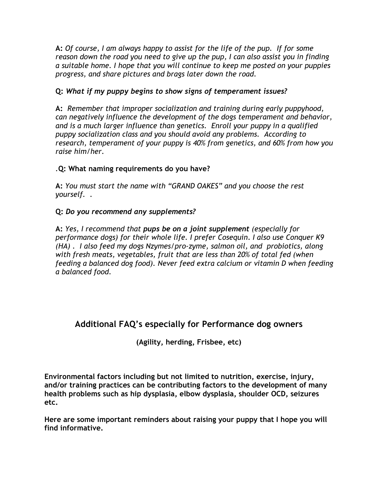A: Of course, I am always happy to assist for the life of the pup. If for some reason down the road you need to give up the pup, I can also assist you in finding a suitable home. I hope that you will continue to keep me posted on your puppies progress, and share pictures and brags later down the road.

# Q: What if my puppy begins to show signs of temperament issues?

A: Remember that improper socialization and training during early puppyhood, can negatively influence the development of the dogs temperament and behavior, and is a much larger influence than genetics. Enroll your puppy in a qualified puppy socialization class and you should avoid any problems. According to research, temperament of your puppy is 40% from genetics, and 60% from how you raise him/her.

# .Q: What naming requirements do you have?

A: You must start the name with "GRAND OAKES" and you choose the rest yourself. .

#### Q: Do you recommend any supplements?

A: Yes, I recommend that pups be on a joint supplement (especially for performance dogs) for their whole life. I prefer Cosequin. I also use Conquer K9 (HA) . I also feed my dogs Nzymes/pro-zyme, salmon oil, and probiotics, along with fresh meats, vegetables, fruit that are less than 20% of total fed (when feeding a balanced dog food). Never feed extra calcium or vitamin D when feeding a balanced food.

# Additional FAQ's especially for Performance dog owners

(Agility, herding, Frisbee, etc)

Environmental factors including but not limited to nutrition, exercise, injury, and/or training practices can be contributing factors to the development of many health problems such as hip dysplasia, elbow dysplasia, shoulder OCD, seizures etc.

Here are some important reminders about raising your puppy that I hope you will find informative.